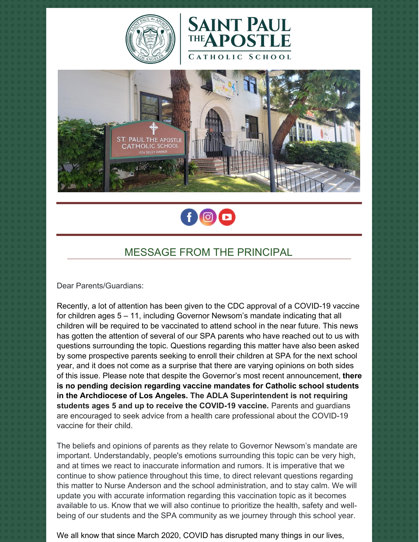







## MESSAGE FROM THE PRINCIPAL

Dear Parents/Guardians:

Recently, a lot of attention has been given to the CDC approval of a COVID-19 vaccine for children ages 5 – 11, including Governor Newsom's mandate indicating that all children will be required to be vaccinated to attend school in the near future. This news has gotten the attention of several of our SPA parents who have reached out to us with questions surrounding the topic. Questions regarding this matter have also been asked by some prospective parents seeking to enroll their children at SPA for the next school year, and it does not come as a surprise that there are varying opinions on both sides of this issue. Please note that despite the Governor's most recent announcement, **there is no pending decision regarding vaccine mandates for Catholic school students in the Archdiocese of Los Angeles. The ADLA Superintendent is not requiring students ages 5 and up to receive the COVID-19 vaccine.** Parents and guardians are encouraged to seek advice from a health care professional about the COVID-19 vaccine for their child.

The beliefs and opinions of parents as they relate to Governor Newsom's mandate are important. Understandably, people's emotions surrounding this topic can be very high, and at times we react to inaccurate information and rumors. It is imperative that we continue to show patience throughout this time, to direct relevant questions regarding this matter to Nurse Anderson and the school administration, and to stay calm. We will update you with accurate information regarding this vaccination topic as it becomes available to us. Know that we will also continue to prioritize the health, safety and wellbeing of our students and the SPA community as we journey through this school year.

We all know that since March 2020, COVID has disrupted many things in our lives,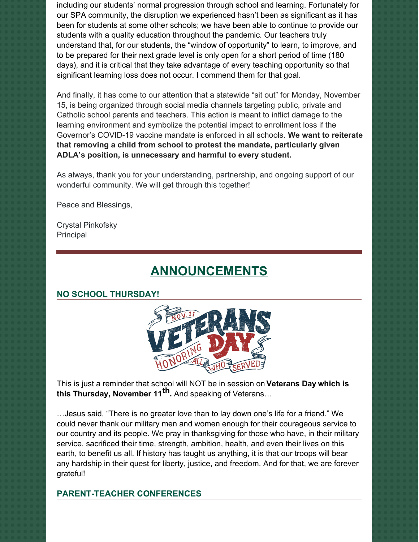including our students' normal progression through school and learning. Fortunately for our SPA community, the disruption we experienced hasn't been as significant as it has been for students at some other schools; we have been able to continue to provide our students with a quality education throughout the pandemic. Our teachers truly understand that, for our students, the "window of opportunity" to learn, to improve, and to be prepared for their next grade level is only open for a short period of time (180 days), and it is critical that they take advantage of every teaching opportunity so that significant learning loss does not occur. I commend them for that goal.

And finally, it has come to our attention that a statewide "sit out" for Monday, November 15, is being organized through social media channels targeting public, private and Catholic school parents and teachers. This action is meant to inflict damage to the learning environment and symbolize the potential impact to enrollment loss if the Governor's COVID-19 vaccine mandate is enforced in all schools. **We want to reiterate that removing a child from school to protest the mandate, particularly given ADLA's position, is unnecessary and harmful to every student.**

As always, thank you for your understanding, partnership, and ongoing support of our wonderful community. We will get through this together!

Peace and Blessings,

Crystal Pinkofsky Principal

# **ANNOUNCEMENTS**

### **NO SCHOOL THURSDAY!**



This is just a reminder that school will NOT be in session on **Veterans Day which is this Thursday, November 11 th.** And speaking of Veterans…

…Jesus said, "There is no greater love than to lay down one's life for a friend." We could never thank our military men and women enough for their courageous service to our country and its people. We pray in thanksgiving for those who have, in their military service, sacrificed their time, strength, ambition, health, and even their lives on this earth, to benefit us all. If history has taught us anything, it is that our troops will bear any hardship in their quest for liberty, justice, and freedom. And for that, we are forever grateful!

#### **PARENT-TEACHER CONFERENCES**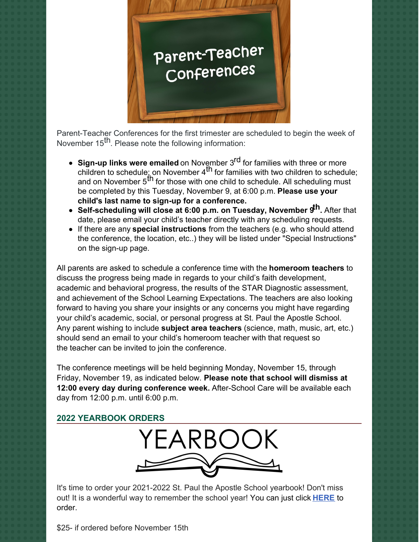

Parent-Teacher Conferences for the first trimester are scheduled to begin the week of November 15<sup>th</sup>. Please note the following information:

- **Sign-up links were emailed** on November 3 rd for families with three or more children to schedule; on November 4<sup>th</sup> for families with two children to schedule; and on November 5<sup>th</sup> for those with one child to schedule. All scheduling must be completed by this Tuesday, November 9, at 6:00 p.m. **Please use your child's last name to sign-up for a conference.**
- **Self-scheduling will close at 6:00 p.m. on Tuesday, November 9 th.** After that date, please email your child's teacher directly with any scheduling requests.
- If there are any **special instructions** from the teachers (e.g. who should attend the conference, the location, etc..) they will be listed under "Special Instructions" on the sign-up page.

All parents are asked to schedule a conference time with the **homeroom teachers** to discuss the progress being made in regards to your child's faith development, academic and behavioral progress, the results of the STAR Diagnostic assessment, and achievement of the School Learning Expectations. The teachers are also looking forward to having you share your insights or any concerns you might have regarding your child's academic, social, or personal progress at St. Paul the Apostle School. Any parent wishing to include **subject area teachers** (science, math, music, art, etc.) should send an email to your child's homeroom teacher with that request so the teacher can be invited to join the conference.

The conference meetings will be held beginning Monday, November 15, through Friday, November 19, as indicated below. **Please note that school will dismiss at 12:00 every day during conference week.** After-School Care will be available each day from 12:00 p.m. until 6:00 p.m.

#### **2022 YEARBOOK ORDERS**



It's time to order your 2021-2022 St. Paul the Apostle School yearbook! Don't miss out! It is a wonderful way to remember the school year! You can just click **[HERE](https://www.prestoregister.com/cgi-bin/order.pl?ref=spapostle_school&fm=3)** to order.

\$25- if ordered before November 15th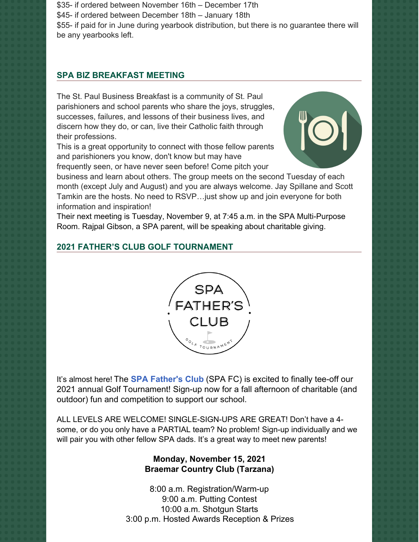\$35- if ordered between November 16th – December 17th \$45- if ordered between December 18th – January 18th \$55- if paid for in June during yearbook distribution, but there is no guarantee there will be any yearbooks left.

#### **SPA BIZ BREAKFAST MEETING**

The St. Paul Business Breakfast is a community of St. Paul parishioners and school parents who share the joys, struggles, successes, failures, and lessons of their business lives, and discern how they do, or can, live their Catholic faith through their professions.

This is a great opportunity to connect with those fellow parents and parishioners you know, don't know but may have frequently seen, or have never seen before! Come pitch your



business and learn about others. The group meets on the second Tuesday of each month (except July and August) and you are always welcome. Jay Spillane and Scott Tamkin are the hosts. No need to RSVP…just show up and join everyone for both information and inspiration!

Their next meeting is Tuesday, November 9, at 7:45 a.m. in the SPA Multi-Purpose Room. Rajpal Gibson, a SPA parent, will be speaking about charitable giving.

#### **2021 FATHER'S CLUB GOLF TOURNAMENT**



It's almost here! The **SPA [Father's](https://www.spadad.org/) Club** (SPA FC) is excited to finally tee-off our 2021 annual Golf Tournament! Sign-up now for a fall afternoon of charitable (and outdoor) fun and competition to support our school.

ALL LEVELS ARE WELCOME! SINGLE-SIGN-UPS ARE GREAT! Don't have a 4 some, or do you only have a PARTIAL team? No problem! Sign-up individually and we will pair you with other fellow SPA dads. It's a great way to meet new parents!

#### **Monday, November 15, 2021 Braemar Country Club (Tarzana)**

8:00 a.m. Registration/Warm-up 9:00 a.m. Putting Contest 10:00 a.m. Shotgun Starts 3:00 p.m. Hosted Awards Reception & Prizes